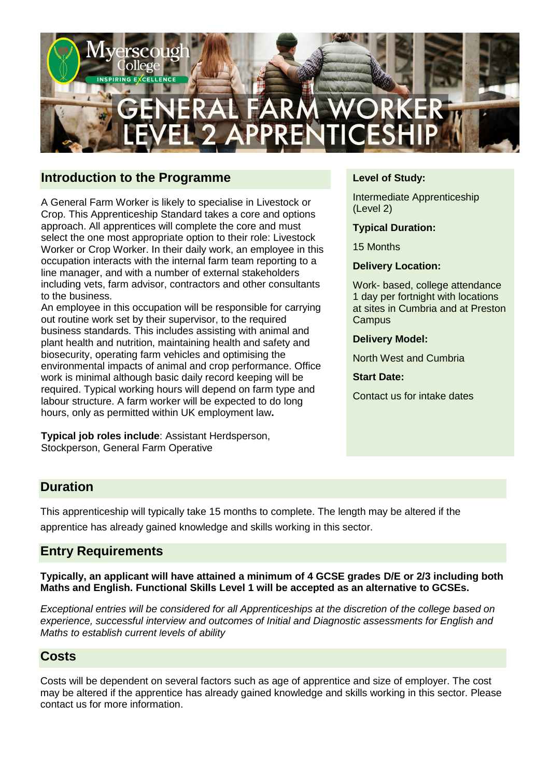

### **Introduction to the Programme**

A General Farm Worker is likely to specialise in Livestock or Crop. This Apprenticeship Standard takes a core and options approach. All apprentices will complete the core and must select the one most appropriate option to their role: Livestock Worker or Crop Worker. In their daily work, an employee in this occupation interacts with the internal farm team reporting to a line manager, and with a number of external stakeholders including vets, farm advisor, contractors and other consultants to the business.

An employee in this occupation will be responsible for carrying out routine work set by their supervisor, to the required business standards. This includes assisting with animal and plant health and nutrition, maintaining health and safety and biosecurity, operating farm vehicles and optimising the environmental impacts of animal and crop performance. Office work is minimal although basic daily record keeping will be required. Typical working hours will depend on farm type and labour structure. A farm worker will be expected to do long hours, only as permitted within UK employment law**.**

**Typical job roles include**: Assistant Herdsperson, Stockperson, General Farm Operative

#### **Level of Study:**

Intermediate Apprenticeship (Level 2)

**Typical Duration:**

15 Months

**Delivery Location:**

Work- based, college attendance 1 day per fortnight with locations at sites in Cumbria and at Preston **Campus** 

**Delivery Model:** 

North West and Cumbria

**Start Date:** 

Contact us for intake dates

#### **Duration**

This apprenticeship will typically take 15 months to complete. The length may be altered if the apprentice has already gained knowledge and skills working in this sector.

#### **Entry Requirements**

**Typically, an applicant will have attained a minimum of 4 GCSE grades D/E or 2/3 including both Maths and English. Functional Skills Level 1 will be accepted as an alternative to GCSEs.**

*Exceptional entries will be considered for all Apprenticeships at the discretion of the college based on experience, successful interview and outcomes of Initial and Diagnostic assessments for English and Maths to establish current levels of ability*

#### **Costs**

Costs will be dependent on several factors such as age of apprentice and size of employer. The cost may be altered if the apprentice has already gained knowledge and skills working in this sector. Please contact us for more information.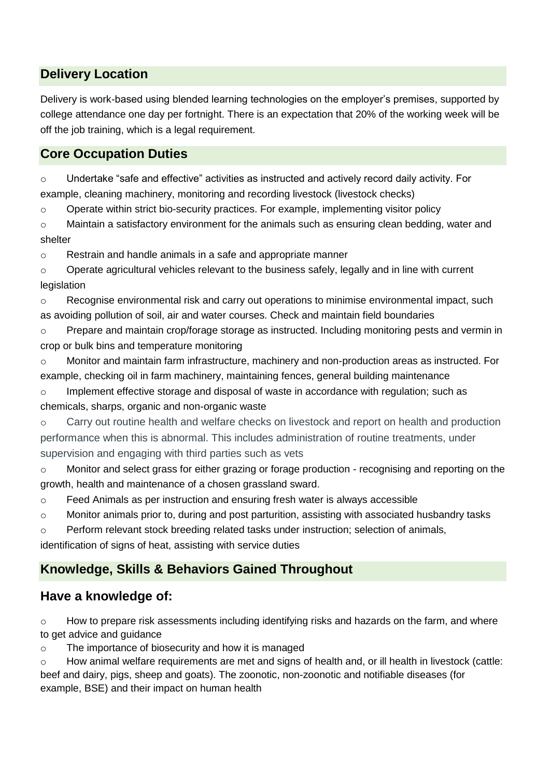## **Delivery Location**

Delivery is work-based using blended learning technologies on the employer's premises, supported by college attendance one day per fortnight. There is an expectation that 20% of the working week will be off the job training, which is a legal requirement.

# **Core Occupation Duties**

o Undertake "safe and effective" activities as instructed and actively record daily activity. For example, cleaning machinery, monitoring and recording livestock (livestock checks)

 $\circ$  Operate within strict bio-security practices. For example, implementing visitor policy

 $\circ$  Maintain a satisfactory environment for the animals such as ensuring clean bedding, water and shelter

o Restrain and handle animals in a safe and appropriate manner

 $\circ$  Operate agricultural vehicles relevant to the business safely, legally and in line with current legislation

 $\circ$  Recognise environmental risk and carry out operations to minimise environmental impact, such as avoiding pollution of soil, air and water courses. Check and maintain field boundaries

 $\circ$  Prepare and maintain crop/forage storage as instructed. Including monitoring pests and vermin in crop or bulk bins and temperature monitoring

o Monitor and maintain farm infrastructure, machinery and non-production areas as instructed. For example, checking oil in farm machinery, maintaining fences, general building maintenance

o Implement effective storage and disposal of waste in accordance with regulation; such as chemicals, sharps, organic and non-organic waste

o Carry out routine health and welfare checks on livestock and report on health and production performance when this is abnormal. This includes administration of routine treatments, under supervision and engaging with third parties such as vets

o Monitor and select grass for either grazing or forage production - recognising and reporting on the growth, health and maintenance of a chosen grassland sward.

o Feed Animals as per instruction and ensuring fresh water is always accessible

o Monitor animals prior to, during and post parturition, assisting with associated husbandry tasks

o Perform relevant stock breeding related tasks under instruction; selection of animals,

identification of signs of heat, assisting with service duties

## **Knowledge, Skills & Behaviors Gained Throughout**

## **Have a knowledge of:**

 $\circ$  How to prepare risk assessments including identifying risks and hazards on the farm, and where to get advice and guidance

o The importance of biosecurity and how it is managed

 $\circ$  How animal welfare requirements are met and signs of health and, or ill health in livestock (cattle: beef and dairy, pigs, sheep and goats). The zoonotic, non-zoonotic and notifiable diseases (for example, BSE) and their impact on human health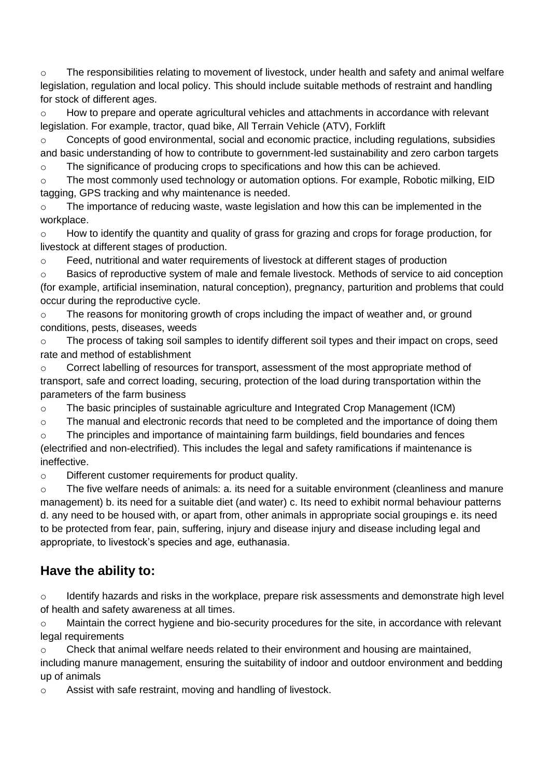$\circ$  The responsibilities relating to movement of livestock, under health and safety and animal welfare legislation, regulation and local policy. This should include suitable methods of restraint and handling for stock of different ages.

o How to prepare and operate agricultural vehicles and attachments in accordance with relevant legislation. For example, tractor, quad bike, All Terrain Vehicle (ATV), Forklift

 $\circ$  Concepts of good environmental, social and economic practice, including regulations, subsidies and basic understanding of how to contribute to government-led sustainability and zero carbon targets

o The significance of producing crops to specifications and how this can be achieved.

o The most commonly used technology or automation options. For example, Robotic milking, EID tagging, GPS tracking and why maintenance is needed.

o The importance of reducing waste, waste legislation and how this can be implemented in the workplace.

o How to identify the quantity and quality of grass for grazing and crops for forage production, for livestock at different stages of production.

o Feed, nutritional and water requirements of livestock at different stages of production

o Basics of reproductive system of male and female livestock. Methods of service to aid conception (for example, artificial insemination, natural conception), pregnancy, parturition and problems that could occur during the reproductive cycle.

o The reasons for monitoring growth of crops including the impact of weather and, or ground conditions, pests, diseases, weeds

 $\circ$  The process of taking soil samples to identify different soil types and their impact on crops, seed rate and method of establishment

o Correct labelling of resources for transport, assessment of the most appropriate method of transport, safe and correct loading, securing, protection of the load during transportation within the parameters of the farm business

o The basic principles of sustainable agriculture and Integrated Crop Management (ICM)

o The manual and electronic records that need to be completed and the importance of doing them

 $\circ$  The principles and importance of maintaining farm buildings, field boundaries and fences (electrified and non-electrified). This includes the legal and safety ramifications if maintenance is ineffective.

o Different customer requirements for product quality.

o The five welfare needs of animals: a. its need for a suitable environment (cleanliness and manure management) b. its need for a suitable diet (and water) c. Its need to exhibit normal behaviour patterns d. any need to be housed with, or apart from, other animals in appropriate social groupings e. its need to be protected from fear, pain, suffering, injury and disease injury and disease including legal and appropriate, to livestock's species and age, euthanasia.

# **Have the ability to:**

 $\circ$  Identify hazards and risks in the workplace, prepare risk assessments and demonstrate high level of health and safety awareness at all times.

o Maintain the correct hygiene and bio-security procedures for the site, in accordance with relevant legal requirements

 $\circ$  Check that animal welfare needs related to their environment and housing are maintained, including manure management, ensuring the suitability of indoor and outdoor environment and bedding up of animals

o Assist with safe restraint, moving and handling of livestock.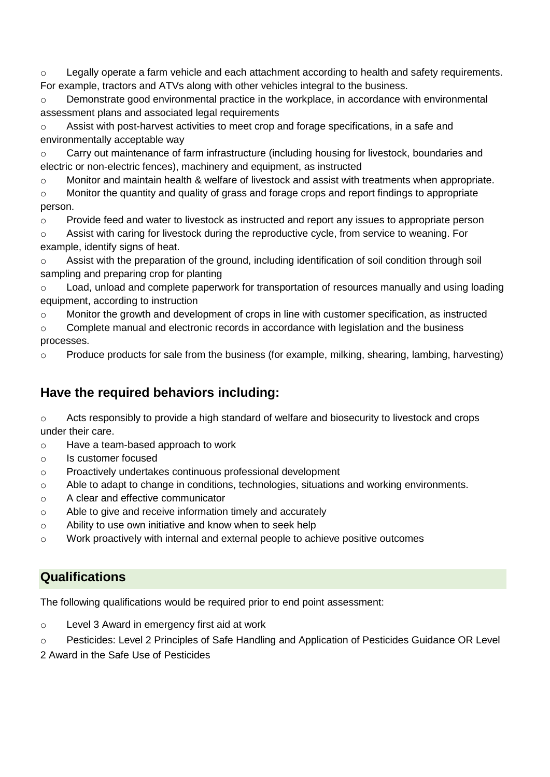$\circ$  Legally operate a farm vehicle and each attachment according to health and safety requirements. For example, tractors and ATVs along with other vehicles integral to the business.

 $\circ$  Demonstrate good environmental practice in the workplace, in accordance with environmental assessment plans and associated legal requirements

o Assist with post-harvest activities to meet crop and forage specifications, in a safe and environmentally acceptable way

o Carry out maintenance of farm infrastructure (including housing for livestock, boundaries and electric or non-electric fences), machinery and equipment, as instructed

o Monitor and maintain health & welfare of livestock and assist with treatments when appropriate.

o Monitor the quantity and quality of grass and forage crops and report findings to appropriate person.

 $\circ$  Provide feed and water to livestock as instructed and report any issues to appropriate person

o Assist with caring for livestock during the reproductive cycle, from service to weaning. For example, identify signs of heat.

o Assist with the preparation of the ground, including identification of soil condition through soil sampling and preparing crop for planting

o Load, unload and complete paperwork for transportation of resources manually and using loading equipment, according to instruction

o Monitor the growth and development of crops in line with customer specification, as instructed

o Complete manual and electronic records in accordance with legislation and the business processes.

 $\circ$  Produce products for sale from the business (for example, milking, shearing, lambing, harvesting)

# **Have the required behaviors including:**

o Acts responsibly to provide a high standard of welfare and biosecurity to livestock and crops under their care.

- o Have a team-based approach to work
- o Is customer focused
- o Proactively undertakes continuous professional development
- o Able to adapt to change in conditions, technologies, situations and working environments.
- o A clear and effective communicator
- o Able to give and receive information timely and accurately
- o Ability to use own initiative and know when to seek help
- o Work proactively with internal and external people to achieve positive outcomes

## **Qualifications**

The following qualifications would be required prior to end point assessment:

- o Level 3 Award in emergency first aid at work
- o Pesticides: Level 2 Principles of Safe Handling and Application of Pesticides Guidance OR Level
- 2 Award in the Safe Use of Pesticides